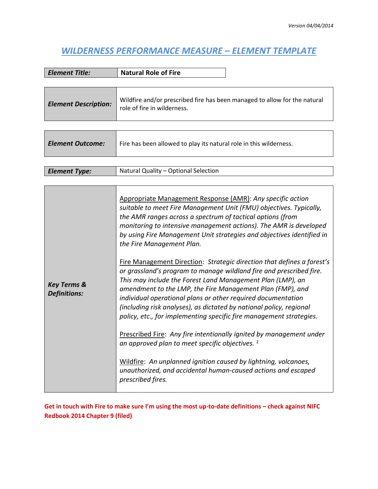## *WILDERNESS PERFORMANCE MEASURE – ELEMENT TEMPLATE*

| Element Title:              | <b>Natural Role of Fire</b>                                                                              |
|-----------------------------|----------------------------------------------------------------------------------------------------------|
|                             |                                                                                                          |
| <b>Element Description:</b> | Wildfire and/or prescribed fire has been managed to allow for the natural<br>role of fire in wilderness. |

| <b>Element Outcome:</b> | Fire has been allowed to play its natural role in this wilderness. |
|-------------------------|--------------------------------------------------------------------|
|                         |                                                                    |
| <b>Element Type:</b>    | Natural Quality - Optional Selection                               |

| <b>Key Terms &amp;</b><br>Definitions: | Appropriate Management Response (AMR): Any specific action<br>suitable to meet Fire Management Unit (FMU) objectives. Typically,<br>the AMR ranges across a spectrum of tactical options (from<br>monitoring to intensive management actions). The AMR is developed<br>by using Fire Management Unit strategies and objectives identified in<br>the Fire Management Plan.<br>Fire Management Direction: Strategic direction that defines a forest's<br>or grassland's program to manage wildland fire and prescribed fire.<br>This may include the Forest Land Management Plan (LMP), an |
|----------------------------------------|------------------------------------------------------------------------------------------------------------------------------------------------------------------------------------------------------------------------------------------------------------------------------------------------------------------------------------------------------------------------------------------------------------------------------------------------------------------------------------------------------------------------------------------------------------------------------------------|
|                                        | amendment to the LMP, the Fire Management Plan (FMP), and<br>individual operational plans or other required documentation<br>(including risk analyses), as dictated by national policy, regional<br>policy, etc., for implementing specific fire management strategies.<br>Prescribed Fire: Any fire intentionally ignited by management under<br>an approved plan to meet specific objectives. <sup>1</sup>                                                                                                                                                                             |
|                                        | Wildfire: An unplanned ignition caused by lightning, volcanoes,<br>unauthorized, and accidental human-caused actions and escaped<br>prescribed fires.                                                                                                                                                                                                                                                                                                                                                                                                                                    |

**Get in touch with Fire to make sure I'm using the most up-to-date definitions – check against NIFC Redbook 2014 Chapter 9 (filed)**